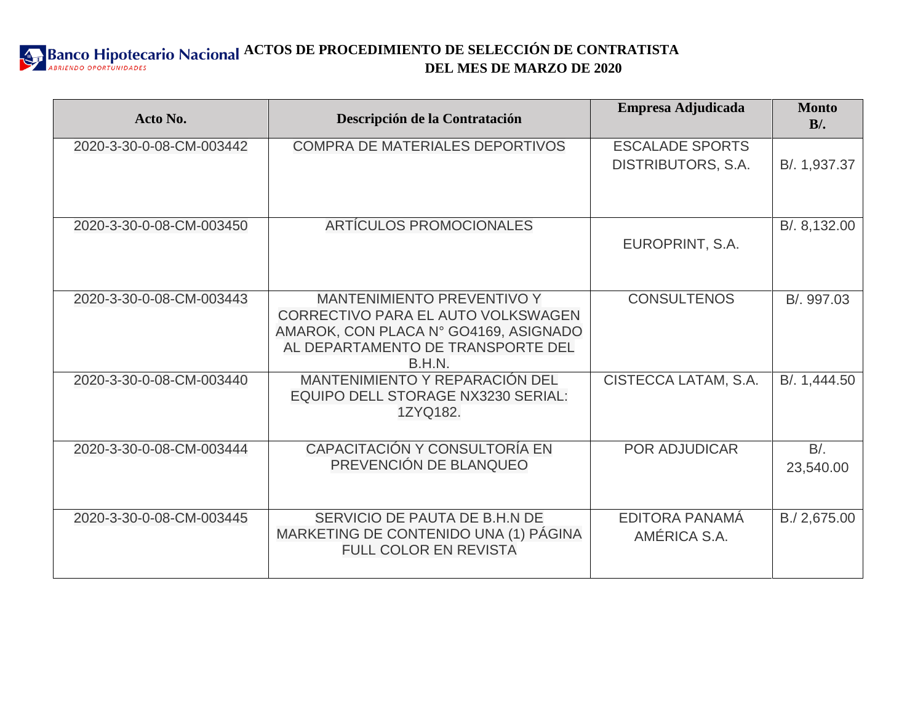

| Acto No.                 | Descripción de la Contratación                                                                                                                                  | Empresa Adjudicada                           | <b>Monto</b><br>$B$ . |
|--------------------------|-----------------------------------------------------------------------------------------------------------------------------------------------------------------|----------------------------------------------|-----------------------|
| 2020-3-30-0-08-CM-003442 | <b>COMPRA DE MATERIALES DEPORTIVOS</b>                                                                                                                          | <b>ESCALADE SPORTS</b><br>DISTRIBUTORS, S.A. | B/. 1,937.37          |
| 2020-3-30-0-08-CM-003450 | <b>ARTÍCULOS PROMOCIONALES</b>                                                                                                                                  | EUROPRINT, S.A.                              | B/. 8,132.00          |
| 2020-3-30-0-08-CM-003443 | <b>MANTENIMIENTO PREVENTIVO Y</b><br>CORRECTIVO PARA EL AUTO VOLKSWAGEN<br>AMAROK, CON PLACA N° GO4169, ASIGNADO<br>AL DEPARTAMENTO DE TRANSPORTE DEL<br>B.H.N. | <b>CONSULTENOS</b>                           | B/. 997.03            |
| 2020-3-30-0-08-CM-003440 | <b>MANTENIMIENTO Y REPARACIÓN DEL</b><br><b>EQUIPO DELL STORAGE NX3230 SERIAL:</b><br>1ZYQ182.                                                                  | CISTECCA LATAM, S.A.                         | B/. 1,444.50          |
| 2020-3-30-0-08-CM-003444 | CAPACITACIÓN Y CONSULTORÍA EN<br>PREVENCIÓN DE BLANQUEO                                                                                                         | <b>POR ADJUDICAR</b>                         | $B/$ .<br>23,540.00   |
| 2020-3-30-0-08-CM-003445 | SERVICIO DE PAUTA DE B.H.N DE<br>MARKETING DE CONTENIDO UNA (1) PÁGINA<br><b>FULL COLOR EN REVISTA</b>                                                          | EDITORA PANAMÁ<br>AMÉRICA S.A.               | B./ 2,675.00          |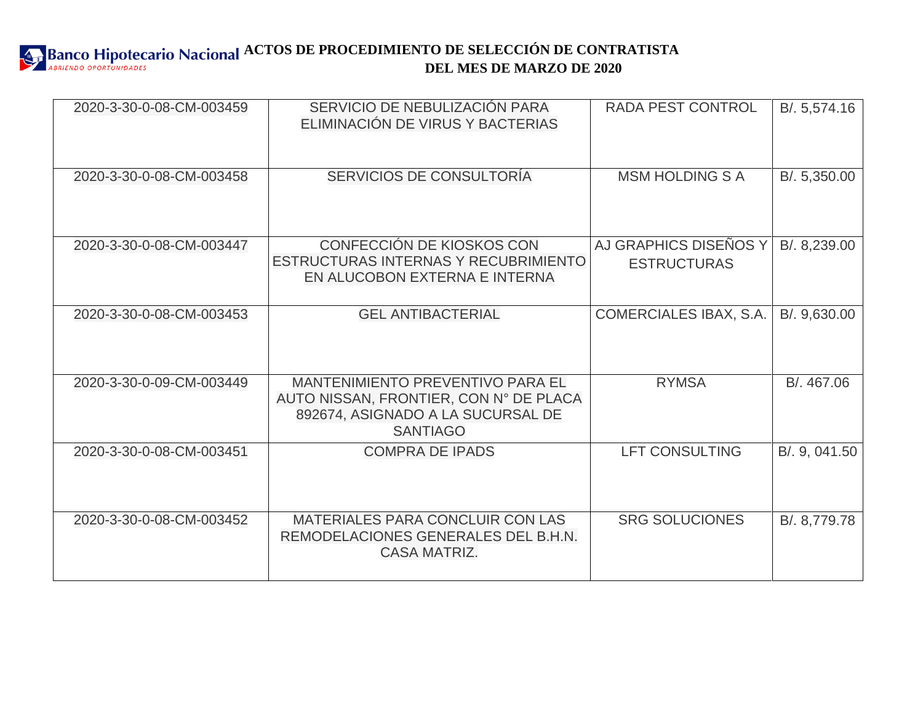## **ACTOS DE PROCEDIMIENTO DE SELECCIÓN DE CONTRATISTA DEL MES DE MARZO DE 2020**

| 2020-3-30-0-08-CM-003459 | SERVICIO DE NEBULIZACIÓN PARA<br>ELIMINACIÓN DE VIRUS Y BACTERIAS                                                                         | <b>RADA PEST CONTROL</b>                    | B/. 5,574.16  |
|--------------------------|-------------------------------------------------------------------------------------------------------------------------------------------|---------------------------------------------|---------------|
| 2020-3-30-0-08-CM-003458 | SERVICIOS DE CONSULTORÍA                                                                                                                  | <b>MSM HOLDING S A</b>                      | B/. 5,350.00  |
| 2020-3-30-0-08-CM-003447 | CONFECCIÓN DE KIOSKOS CON<br>ESTRUCTURAS INTERNAS Y RECUBRIMIENTO<br>EN ALUCOBON EXTERNA E INTERNA                                        | AJ GRAPHICS DISEÑOS Y<br><b>ESTRUCTURAS</b> | B/. 8,239.00  |
| 2020-3-30-0-08-CM-003453 | <b>GEL ANTIBACTERIAL</b>                                                                                                                  | <b>COMERCIALES IBAX, S.A.</b>               | B/. 9,630.00  |
| 2020-3-30-0-09-CM-003449 | <b>MANTENIMIENTO PREVENTIVO PARA EL</b><br>AUTO NISSAN, FRONTIER, CON N° DE PLACA<br>892674, ASIGNADO A LA SUCURSAL DE<br><b>SANTIAGO</b> | <b>RYMSA</b>                                | B/. 467.06    |
| 2020-3-30-0-08-CM-003451 | <b>COMPRA DE IPADS</b>                                                                                                                    | <b>LFT CONSULTING</b>                       | B/. 9, 041.50 |
| 2020-3-30-0-08-CM-003452 | MATERIALES PARA CONCLUIR CON LAS<br>REMODELACIONES GENERALES DEL B.H.N.<br><b>CASA MATRIZ.</b>                                            | <b>SRG SOLUCIONES</b>                       | B/. 8,779.78  |